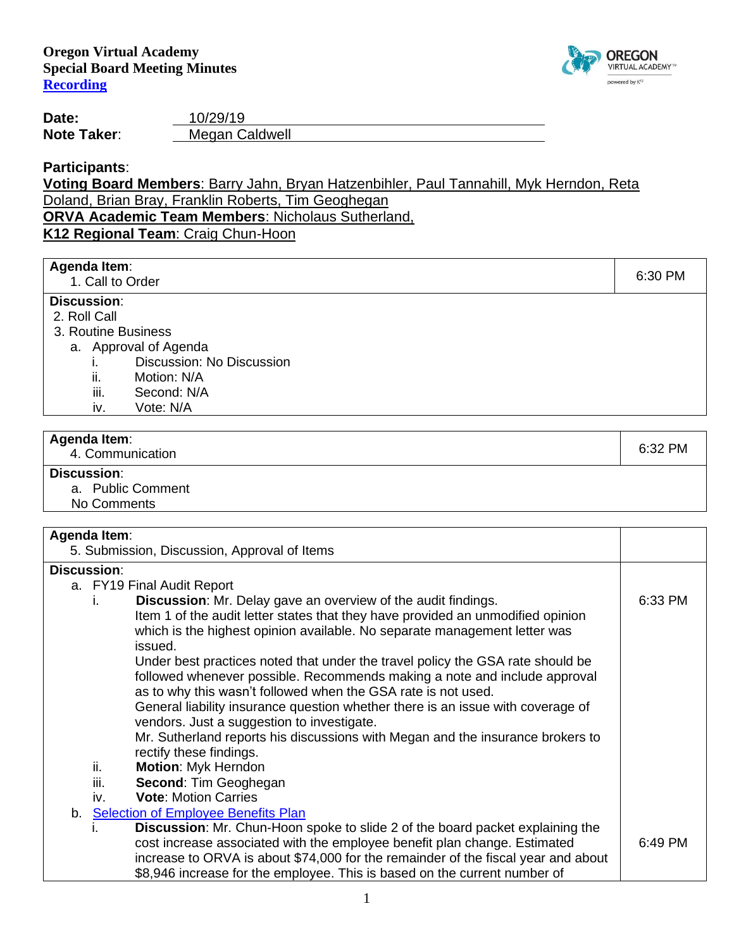

Τ

**Date:** 10/29/19 **Note Taker:** Megan Caldwell

**Participants**:

# **Voting Board Members**: Barry Jahn, Bryan Hatzenbihler, Paul Tannahill, Myk Herndon, Reta Doland, Brian Bray, Franklin Roberts, Tim Geoghegan

**ORVA Academic Team Members**: Nicholaus Sutherland,

**K12 Regional Team**: Craig Chun-Hoon

# **Agenda Item:**<br>1. Call to Order

end to the control of the control of the control of the control of the control of the control of the control of the control of the control of the control of the control of the control of the control of the control of the c

## **Discussion**:

- 2. Roll Call
- 3. Routine Business
	- a. Approval of Agenda
		- i. Discussion: No Discussion
		- ii. Motion: N/A
		- iii. Second: N/A
		- iv. Vote: N/A

#### **Agenda Item**:

enda item.<br>4. Communication 6:32 PM

### **Discussion**:

- a. Public Comment
- No Comments

# **Agenda Item**:

| Agenda Reni.                                                                         |         |  |  |
|--------------------------------------------------------------------------------------|---------|--|--|
| 5. Submission, Discussion, Approval of Items                                         |         |  |  |
| <b>Discussion:</b>                                                                   |         |  |  |
| a. FY19 Final Audit Report                                                           |         |  |  |
| <b>Discussion:</b> Mr. Delay gave an overview of the audit findings.                 | 6:33 PM |  |  |
| Item 1 of the audit letter states that they have provided an unmodified opinion      |         |  |  |
| which is the highest opinion available. No separate management letter was            |         |  |  |
| issued.                                                                              |         |  |  |
| Under best practices noted that under the travel policy the GSA rate should be       |         |  |  |
| followed whenever possible. Recommends making a note and include approval            |         |  |  |
| as to why this wasn't followed when the GSA rate is not used.                        |         |  |  |
| General liability insurance question whether there is an issue with coverage of      |         |  |  |
| vendors. Just a suggestion to investigate.                                           |         |  |  |
| Mr. Sutherland reports his discussions with Megan and the insurance brokers to       |         |  |  |
| rectify these findings.                                                              |         |  |  |
| ii.<br>Motion: Myk Herndon                                                           |         |  |  |
| iii.<br><b>Second: Tim Geoghegan</b>                                                 |         |  |  |
| <b>Vote: Motion Carries</b><br>İV.                                                   |         |  |  |
| b. Selection of Employee Benefits Plan                                               |         |  |  |
| <b>Discussion:</b> Mr. Chun-Hoon spoke to slide 2 of the board packet explaining the |         |  |  |
| cost increase associated with the employee benefit plan change. Estimated            | 6:49 PM |  |  |
| increase to ORVA is about \$74,000 for the remainder of the fiscal year and about    |         |  |  |
| \$8,946 increase for the employee. This is based on the current number of            |         |  |  |